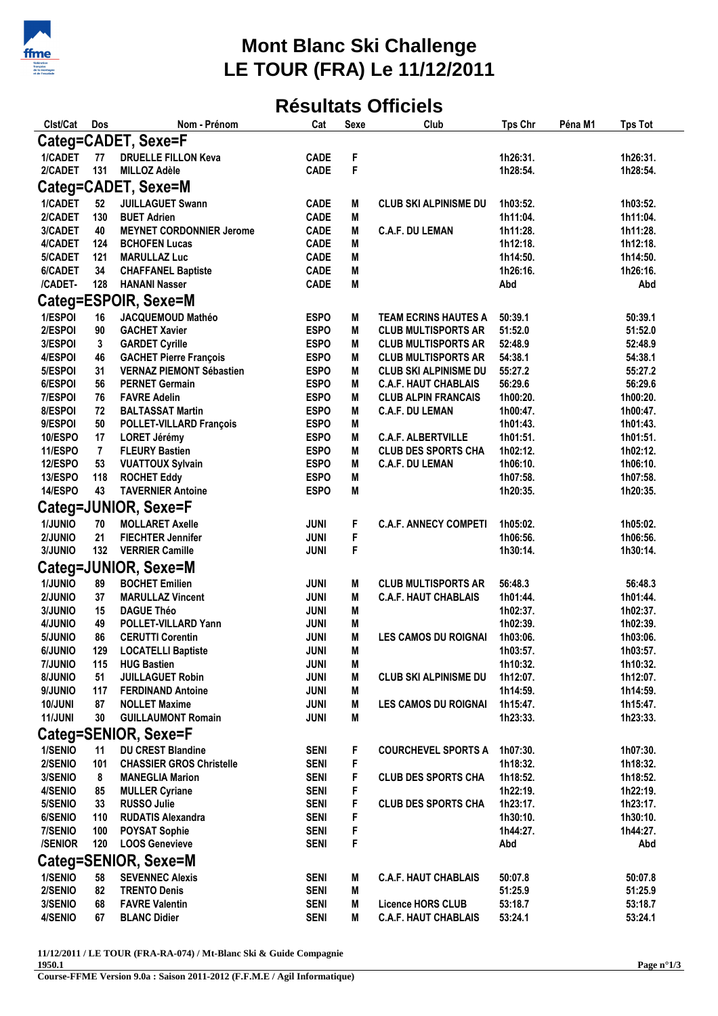

## **Mont Blanc Ski Challenge LE TOUR (FRA) Le 11/12/2011**

## **Résultats Officiels**

| Clst/Cat             | Dos       | Nom - Prénom                                       | Cat                        | <b>Sexe</b> | Club                                                    | <b>Tps Chr</b>       | Péna M1 | <b>Tps Tot</b>       |  |
|----------------------|-----------|----------------------------------------------------|----------------------------|-------------|---------------------------------------------------------|----------------------|---------|----------------------|--|
| Categ=CADET, Sexe=F  |           |                                                    |                            |             |                                                         |                      |         |                      |  |
| 1/CADET              | 77        | <b>DRUELLE FILLON Keva</b>                         | <b>CADE</b>                | F           |                                                         | 1h26:31.             |         | 1h26:31.             |  |
| 2/CADET              | 131       | <b>MILLOZ Adèle</b>                                | <b>CADE</b>                | F           |                                                         | 1h28:54.             |         | 1h28:54.             |  |
| Categ=CADET, Sexe=M  |           |                                                    |                            |             |                                                         |                      |         |                      |  |
| 1/CADET              | 52        | <b>JUILLAGUET Swann</b>                            | <b>CADE</b>                | M           | <b>CLUB SKI ALPINISME DU</b>                            | 1h03:52.             |         | 1h03:52.             |  |
| 2/CADET              | 130       | <b>BUET Adrien</b>                                 | <b>CADE</b>                | M           |                                                         | 1h11:04.             |         | 1h11:04.             |  |
| 3/CADET              | 40        | <b>MEYNET CORDONNIER Jerome</b>                    | <b>CADE</b>                | M           | <b>C.A.F. DU LEMAN</b>                                  | 1h11:28.             |         | 1h11:28.             |  |
| 4/CADET              | 124       | <b>BCHOFEN Lucas</b>                               | <b>CADE</b>                | M           |                                                         | 1h12:18.             |         | 1h12:18.             |  |
| 5/CADET              | 121       | <b>MARULLAZ Luc</b>                                | <b>CADE</b>                | M           |                                                         | 1h14:50.             |         | 1h14:50.             |  |
| 6/CADET              | 34        | <b>CHAFFANEL Baptiste</b>                          | <b>CADE</b>                | M           |                                                         | 1h26:16.             |         | 1h26:16.             |  |
| /CADET-              | 128       | <b>HANANI Nasser</b>                               | <b>CADE</b>                | M           |                                                         | Abd                  |         | Abd                  |  |
|                      |           | Categ=ESPOIR, Sexe=M                               |                            |             |                                                         |                      |         |                      |  |
| 1/ESPOI              | 16        | JACQUEMOUD Mathéo                                  | <b>ESPO</b>                | M           | <b>TEAM ECRINS HAUTES A</b>                             | 50:39.1              |         | 50:39.1              |  |
| 2/ESPOI              | 90        | <b>GACHET Xavier</b>                               | <b>ESPO</b>                | M           | <b>CLUB MULTISPORTS AR</b>                              | 51:52.0              |         | 51:52.0              |  |
| 3/ESPOI              | 3         | <b>GARDET Cyrille</b>                              | <b>ESPO</b>                | M           | <b>CLUB MULTISPORTS AR</b>                              | 52:48.9              |         | 52:48.9              |  |
| 4/ESPOI              | 46        | <b>GACHET Pierre François</b>                      | <b>ESPO</b>                | М           | <b>CLUB MULTISPORTS AR</b>                              | 54:38.1              |         | 54:38.1              |  |
| 5/ESPOI              | 31        | <b>VERNAZ PIEMONT Sébastien</b>                    | <b>ESPO</b>                | M           | <b>CLUB SKI ALPINISME DU</b>                            | 55:27.2              |         | 55:27.2              |  |
| 6/ESPOI              | 56        | <b>PERNET Germain</b>                              | <b>ESPO</b>                | М           | <b>C.A.F. HAUT CHABLAIS</b>                             | 56:29.6              |         | 56:29.6              |  |
| 7/ESPOI              | 76        | <b>FAVRE Adelin</b>                                | <b>ESPO</b>                | M           | <b>CLUB ALPIN FRANCAIS</b>                              | 1h00:20.             |         | 1h00:20.             |  |
| 8/ESPOI              | 72        | <b>BALTASSAT Martin</b>                            | <b>ESPO</b>                | M           | <b>C.A.F. DU LEMAN</b>                                  | 1h00:47.             |         | 1h00:47.             |  |
| 9/ESPOI              | 50        | POLLET-VILLARD François                            | <b>ESPO</b>                | M           |                                                         | 1h01:43.             |         | 1h01:43.             |  |
| 10/ESPO<br>11/ESPO   | 17<br>7   | <b>LORET Jérémy</b><br><b>FLEURY Bastien</b>       | <b>ESPO</b><br><b>ESPO</b> | M<br>M      | <b>C.A.F. ALBERTVILLE</b><br><b>CLUB DES SPORTS CHA</b> | 1h01:51.             |         | 1h01:51.             |  |
| 12/ESPO              | 53        | <b>VUATTOUX Sylvain</b>                            | <b>ESPO</b>                | M           | <b>C.A.F. DU LEMAN</b>                                  | 1h02:12.<br>1h06:10. |         | 1h02:12.<br>1h06:10. |  |
| 13/ESPO              | 118       | <b>ROCHET Eddy</b>                                 | <b>ESPO</b>                | M           |                                                         | 1h07:58.             |         | 1h07:58.             |  |
| 14/ESPO              | 43        | <b>TAVERNIER Antoine</b>                           | <b>ESPO</b>                | M           |                                                         | 1h20:35.             |         | 1h20:35.             |  |
|                      |           | Categ=JUNIOR, Sexe=F                               |                            |             |                                                         |                      |         |                      |  |
|                      |           |                                                    |                            |             |                                                         |                      |         |                      |  |
| 1/JUNIO              | 70        | <b>MOLLARET Axelle</b>                             | <b>JUNI</b>                | F           | <b>C.A.F. ANNECY COMPETI</b>                            | 1h05:02.             |         | 1h05:02.             |  |
| 2/JUNIO<br>3/JUNIO   | 21<br>132 | <b>FIECHTER Jennifer</b><br><b>VERRIER Camille</b> | <b>JUNI</b><br>JUNI        | F<br>F      |                                                         | 1h06:56.<br>1h30:14. |         | 1h06:56.<br>1h30:14. |  |
|                      |           |                                                    |                            |             |                                                         |                      |         |                      |  |
|                      |           | Categ=JUNIOR, Sexe=M                               |                            |             |                                                         |                      |         |                      |  |
| 1/JUNIO              | 89        | <b>BOCHET Emilien</b>                              | <b>JUNI</b>                | M           | <b>CLUB MULTISPORTS AR</b>                              | 56:48.3              |         | 56:48.3              |  |
| 2/JUNIO              | 37        | <b>MARULLAZ Vincent</b>                            | <b>JUNI</b>                | M           | <b>C.A.F. HAUT CHABLAIS</b>                             | 1h01:44.             |         | 1h01:44.             |  |
| 3/JUNIO<br>4/JUNIO   | 15<br>49  | <b>DAGUE Théo</b><br><b>POLLET-VILLARD Yann</b>    | <b>JUNI</b><br><b>JUNI</b> | M<br>M      |                                                         | 1h02:37.<br>1h02:39. |         | 1h02:37.<br>1h02:39. |  |
| 5/JUNIO              | 86        | <b>CERUTTI Corentin</b>                            | JUNI                       | M           | <b>LES CAMOS DU ROIGNAI</b>                             | 1h03:06.             |         | 1h03:06.             |  |
| <b>6/JUNIO</b>       | 129       | <b>LOCATELLI Baptiste</b>                          | JUNI                       | M           |                                                         | 1h03:57.             |         | 1h03:57.             |  |
| 7/JUNIO              | 115       | <b>HUG Bastien</b>                                 | <b>JUNI</b>                | M           |                                                         | 1h10:32.             |         | 1h10:32.             |  |
| 8/JUNIO              | 51        | <b>JUILLAGUET Robin</b>                            | <b>JUNI</b>                | M           | <b>CLUB SKI ALPINISME DU</b>                            | 1h12:07.             |         | 1h12:07.             |  |
| 9/JUNIO              | 117       | <b>FERDINAND Antoine</b>                           | <b>JUNI</b>                | M           |                                                         | 1h14:59.             |         | 1h14:59.             |  |
| 10/JUNI              | 87        | <b>NOLLET Maxime</b>                               | <b>JUNI</b>                | M           | <b>LES CAMOS DU ROIGNAI</b>                             | 1h15:47.             |         | 1h15:47.             |  |
| 11/JUNI              | 30        | <b>GUILLAUMONT Romain</b>                          | <b>JUNI</b>                | M           |                                                         | 1h23:33.             |         | 1h23:33.             |  |
| Categ=SENIOR, Sexe=F |           |                                                    |                            |             |                                                         |                      |         |                      |  |
| 1/SENIO              | 11        | <b>DU CREST Blandine</b>                           | <b>SENI</b>                | F           | <b>COURCHEVEL SPORTS A</b>                              | 1h07:30.             |         | 1h07:30.             |  |
| 2/SENIO              | 101       | <b>CHASSIER GROS Christelle</b>                    | <b>SENI</b>                | F           |                                                         | 1h18:32.             |         | 1h18:32.             |  |
| 3/SENIO              | 8         | <b>MANEGLIA Marion</b>                             | <b>SENI</b>                | F           | <b>CLUB DES SPORTS CHA</b>                              | 1h18:52.             |         | 1h18:52.             |  |
| 4/SENIO              | 85        | <b>MULLER Cyriane</b>                              | <b>SENI</b>                | F           |                                                         | 1h22:19.             |         | 1h22:19.             |  |
| 5/SENIO              | 33        | <b>RUSSO Julie</b>                                 | <b>SENI</b>                | F           | <b>CLUB DES SPORTS CHA</b>                              | 1h23:17.             |         | 1h23:17.             |  |
| 6/SENIO              | 110       | <b>RUDATIS Alexandra</b>                           | <b>SENI</b>                | F           |                                                         | 1h30:10.             |         | 1h30:10.             |  |
| 7/SENIO              | 100       | <b>POYSAT Sophie</b>                               | <b>SENI</b>                | F           |                                                         | 1h44:27.             |         | 1h44:27.             |  |
| <b>/SENIOR</b>       | 120       | <b>LOOS Genevieve</b>                              | <b>SENI</b>                | F           |                                                         | Abd                  |         | Abd                  |  |
| Categ=SENIOR, Sexe=M |           |                                                    |                            |             |                                                         |                      |         |                      |  |
| 1/SENIO              | 58        | <b>SEVENNEC Alexis</b>                             | <b>SENI</b>                | M           | <b>C.A.F. HAUT CHABLAIS</b>                             | 50:07.8              |         | 50:07.8              |  |
| 2/SENIO              | 82        | <b>TRENTO Denis</b>                                | <b>SENI</b>                | M           |                                                         | 51:25.9              |         | 51:25.9              |  |
| 3/SENIO              | 68        | <b>FAVRE Valentin</b>                              | <b>SENI</b>                | M           | <b>Licence HORS CLUB</b>                                | 53:18.7              |         | 53:18.7              |  |
| 4/SENIO              | 67        | <b>BLANC Didier</b>                                | <b>SENI</b>                | M           | <b>C.A.F. HAUT CHABLAIS</b>                             | 53:24.1              |         | 53:24.1              |  |

**11/12/2011 / LE TOUR (FRA-RA-074) / Mt-Blanc Ski & Guide Compagnie**

**<sup>1950.1</sup>**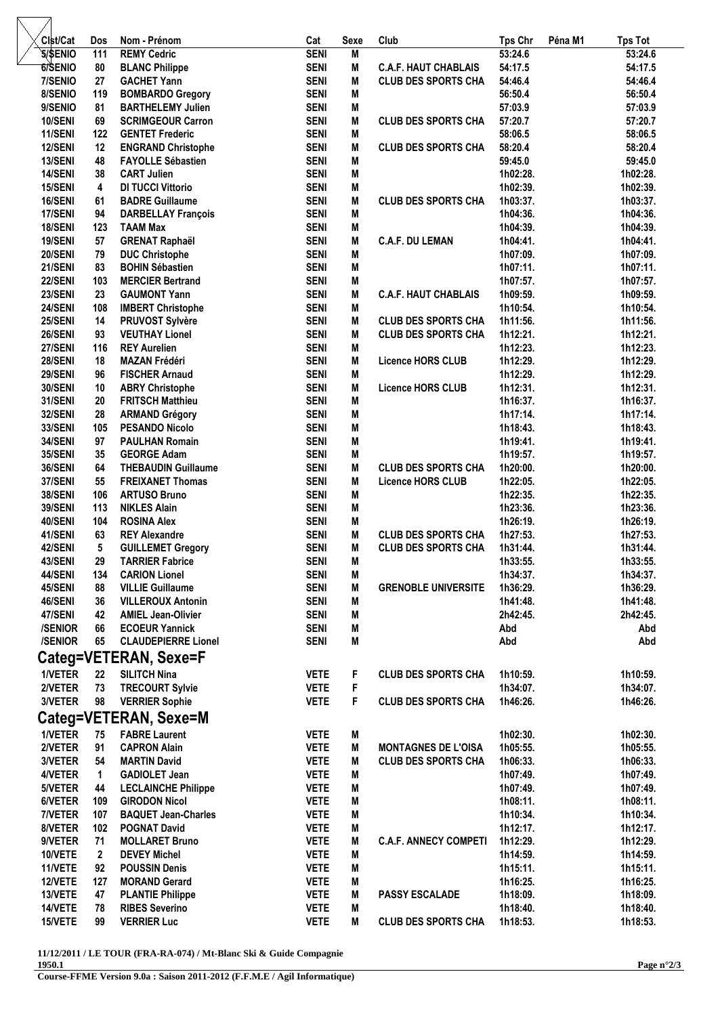| Clst/Cat              | <b>Dos</b>              | Nom - Prénom                                        | Cat                        | Sexe   | Club                         | <b>Tps Chr</b>       | Péna M1 | <b>Tps Tot</b>       |  |
|-----------------------|-------------------------|-----------------------------------------------------|----------------------------|--------|------------------------------|----------------------|---------|----------------------|--|
| <b>5/SENIO</b>        | 111                     | <b>REMY Cedric</b>                                  | <b>SENI</b>                | M      |                              | 53:24.6              |         | 53:24.6              |  |
| 6/SENIO               | 80                      | <b>BLANC Philippe</b>                               | <b>SENI</b>                | M      | <b>C.A.F. HAUT CHABLAIS</b>  | 54:17.5              |         | 54:17.5              |  |
| 7/SENIO               | 27                      | <b>GACHET Yann</b>                                  | <b>SENI</b>                | M      | <b>CLUB DES SPORTS CHA</b>   | 54:46.4              |         | 54:46.4              |  |
| 8/SENIO               | 119                     | <b>BOMBARDO Gregory</b>                             | <b>SENI</b>                | M      |                              | 56:50.4              |         | 56:50.4              |  |
| 9/SENIO               | 81                      | <b>BARTHELEMY Julien</b>                            | <b>SENI</b>                | M      |                              | 57:03.9              |         | 57:03.9              |  |
| 10/SENI               | 69                      | <b>SCRIMGEOUR Carron</b>                            | <b>SENI</b>                | M      | <b>CLUB DES SPORTS CHA</b>   | 57:20.7              |         | 57:20.7              |  |
| 11/SENI               | 122                     | <b>GENTET Frederic</b>                              | <b>SENI</b>                | M      |                              | 58:06.5              |         | 58:06.5              |  |
| 12/SENI               | 12                      | <b>ENGRAND Christophe</b>                           | <b>SENI</b>                | M      | <b>CLUB DES SPORTS CHA</b>   | 58:20.4              |         | 58:20.4              |  |
| 13/SENI               | 48                      | <b>FAYOLLE Sébastien</b>                            | <b>SENI</b>                | M      |                              | 59:45.0              |         | 59:45.0              |  |
| 14/SENI               | 38                      | <b>CART Julien</b>                                  | <b>SENI</b>                | M      |                              | 1h02:28.             |         | 1h02:28.             |  |
| 15/SENI               | $\overline{\mathbf{4}}$ | <b>DI TUCCI Vittorio</b>                            | <b>SENI</b><br><b>SENI</b> | M<br>M | <b>CLUB DES SPORTS CHA</b>   | 1h02:39.<br>1h03:37. |         | 1h02:39.             |  |
| 16/SENI<br>17/SENI    | 61<br>94                | <b>BADRE Guillaume</b><br><b>DARBELLAY François</b> | <b>SENI</b>                | M      |                              | 1h04:36.             |         | 1h03:37.<br>1h04:36. |  |
| 18/SENI               | 123                     | <b>TAAM Max</b>                                     | <b>SENI</b>                | M      |                              | 1h04:39.             |         | 1h04:39.             |  |
| 19/SENI               | 57                      | <b>GRENAT Raphaël</b>                               | <b>SENI</b>                | M      | <b>C.A.F. DU LEMAN</b>       | 1h04:41.             |         | 1h04:41.             |  |
| 20/SENI               | 79                      | <b>DUC Christophe</b>                               | <b>SENI</b>                | M      |                              | 1h07:09.             |         | 1h07:09.             |  |
| 21/SENI               | 83                      | <b>BOHIN Sébastien</b>                              | <b>SENI</b>                | M      |                              | 1h07:11.             |         | 1h07:11.             |  |
| 22/SENI               | 103                     | <b>MERCIER Bertrand</b>                             | <b>SENI</b>                | M      |                              | 1h07:57.             |         | 1h07:57.             |  |
| 23/SENI               | 23                      | <b>GAUMONT Yann</b>                                 | <b>SENI</b>                | M      | <b>C.A.F. HAUT CHABLAIS</b>  | 1h09:59.             |         | 1h09:59.             |  |
| 24/SENI               | 108                     | <b>IMBERT Christophe</b>                            | <b>SENI</b>                | M      |                              | 1h10:54.             |         | 1h10:54.             |  |
| 25/SENI               | 14                      | PRUVOST Sylvère                                     | <b>SENI</b>                | M      | <b>CLUB DES SPORTS CHA</b>   | 1h11:56.             |         | 1h11:56.             |  |
| 26/SENI               | 93                      | <b>VEUTHAY Lionel</b>                               | <b>SENI</b>                | M      | <b>CLUB DES SPORTS CHA</b>   | 1h12:21.             |         | 1h12:21.             |  |
| 27/SENI               | 116                     | <b>REY Aurelien</b>                                 | <b>SENI</b>                | M      |                              | 1h12:23.             |         | 1h12:23.             |  |
| 28/SENI               | 18                      | <b>MAZAN Frédéri</b>                                | <b>SENI</b>                | M      | <b>Licence HORS CLUB</b>     | 1h12:29.             |         | 1h12:29.             |  |
| 29/SENI               | 96                      | <b>FISCHER Arnaud</b>                               | <b>SENI</b>                | M      |                              | 1h12:29.             |         | 1h12:29.             |  |
| 30/SENI               | 10                      | <b>ABRY Christophe</b>                              | <b>SENI</b>                | M      | <b>Licence HORS CLUB</b>     | 1h12:31.             |         | 1h12:31.             |  |
| 31/SENI               | 20                      | <b>FRITSCH Matthieu</b>                             | <b>SENI</b>                | M      |                              | 1h16:37.             |         | 1h16:37.             |  |
| 32/SENI               | 28                      | <b>ARMAND Grégory</b>                               | <b>SENI</b>                | M      |                              | 1h17:14.             |         | 1h17:14.             |  |
| <b>33/SENI</b>        | 105                     | <b>PESANDO Nicolo</b>                               | <b>SENI</b>                | M      |                              | 1h18:43.             |         | 1h18:43.             |  |
| 34/SENI               | 97                      | <b>PAULHAN Romain</b>                               | <b>SENI</b>                | M      |                              | 1h19:41.             |         | 1h19:41.             |  |
| 35/SENI               | 35                      | <b>GEORGE Adam</b>                                  | <b>SENI</b>                | M      |                              | 1h19:57.             |         | 1h19:57.             |  |
| 36/SENI               | 64                      | <b>THEBAUDIN Guillaume</b>                          | <b>SENI</b>                | M      | <b>CLUB DES SPORTS CHA</b>   | 1h20:00.             |         | 1h20:00.             |  |
| 37/SENI<br>38/SENI    | 55<br>106               | <b>FREIXANET Thomas</b><br><b>ARTUSO Bruno</b>      | <b>SENI</b><br><b>SENI</b> | M<br>M | <b>Licence HORS CLUB</b>     | 1h22:05.             |         | 1h22:05.             |  |
| <b>39/SENI</b>        | 113                     | <b>NIKLES Alain</b>                                 | <b>SENI</b>                | M      |                              | 1h22:35.<br>1h23:36. |         | 1h22:35.<br>1h23:36. |  |
| 40/SENI               | 104                     | <b>ROSINA Alex</b>                                  | <b>SENI</b>                | M      |                              | 1h26:19.             |         | 1h26:19.             |  |
| 41/SENI               | 63                      | <b>REY Alexandre</b>                                | <b>SENI</b>                | M      | <b>CLUB DES SPORTS CHA</b>   | 1h27:53.             |         | 1h27:53.             |  |
| 42/SENI               | 5                       | <b>GUILLEMET Gregory</b>                            | <b>SENI</b>                | М      | <b>CLUB DES SPORTS CHA</b>   | 1h31:44.             |         | 1h31:44.             |  |
| 43/SENI               | 29                      | <b>TARRIER Fabrice</b>                              | <b>SENI</b>                | M      |                              | 1h33:55.             |         | 1h33:55.             |  |
| 44/SENI               | 134                     | <b>CARION Lionel</b>                                | <b>SENI</b>                | M      |                              | 1h34:37.             |         | 1h34:37.             |  |
| 45/SENI               | 88                      | <b>VILLIE Guillaume</b>                             | <b>SENI</b>                | M      | <b>GRENOBLE UNIVERSITE</b>   | 1h36:29.             |         | 1h36:29.             |  |
| 46/SENI               | 36                      | <b>VILLEROUX Antonin</b>                            | <b>SENI</b>                | M      |                              | 1h41:48.             |         | 1h41:48.             |  |
| 47/SENI               | 42                      | <b>AMIEL Jean-Olivier</b>                           | <b>SENI</b>                | Μ      |                              | 2h42:45.             |         | 2h42:45.             |  |
| /SENIOR               | 66                      | <b>ECOEUR Yannick</b>                               | <b>SENI</b>                | M      |                              | Abd                  |         | Abd                  |  |
| /SENIOR               | 65                      | <b>CLAUDEPIERRE Lionel</b>                          | <b>SENI</b>                | M      |                              | Abd                  |         | Abd                  |  |
| Categ=VETERAN, Sexe=F |                         |                                                     |                            |        |                              |                      |         |                      |  |
| 1/VETER               | 22                      | <b>SILITCH Nina</b>                                 | <b>VETE</b>                | F      | <b>CLUB DES SPORTS CHA</b>   | 1h10:59.             |         | 1h10:59.             |  |
| 2/VETER               | 73                      | <b>TRECOURT Sylvie</b>                              | <b>VETE</b>                | F      |                              | 1h34:07.             |         | 1h34:07.             |  |
| 3/VETER               | 98                      | <b>VERRIER Sophie</b>                               | <b>VETE</b>                | F      | <b>CLUB DES SPORTS CHA</b>   | 1h46:26.             |         | 1h46:26.             |  |
| Categ=VETERAN, Sexe=M |                         |                                                     |                            |        |                              |                      |         |                      |  |
| 1/VETER               | 75                      | <b>FABRE Laurent</b>                                | <b>VETE</b>                | M      |                              | 1h02:30.             |         | 1h02:30.             |  |
| 2/VETER               | 91                      | <b>CAPRON Alain</b>                                 | <b>VETE</b>                | M      | <b>MONTAGNES DE L'OISA</b>   | 1h05:55.             |         | 1h05:55.             |  |
| 3/VETER               | 54                      | <b>MARTIN David</b>                                 | <b>VETE</b>                | Μ      | <b>CLUB DES SPORTS CHA</b>   | 1h06:33.             |         | 1h06:33.             |  |
| 4/VETER               | 1                       | <b>GADIOLET Jean</b>                                | <b>VETE</b>                | M      |                              | 1h07:49.             |         | 1h07:49.             |  |
| 5/VETER               | 44                      | <b>LECLAINCHE Philippe</b>                          | <b>VETE</b>                | Μ      |                              | 1h07:49.             |         | 1h07:49.             |  |
| 6/VETER               | 109                     | <b>GIRODON Nicol</b>                                | <b>VETE</b>                | M      |                              | 1h08:11.             |         | 1h08:11.             |  |
| 7/VETER               | 107                     | <b>BAQUET Jean-Charles</b>                          | <b>VETE</b>                | Μ      |                              | 1h10:34.             |         | 1h10:34.             |  |
| 8/VETER               | 102                     | <b>POGNAT David</b>                                 | <b>VETE</b>                | Μ      |                              | 1h12:17.             |         | 1h12:17.             |  |
| 9/VETER               | 71                      | <b>MOLLARET Bruno</b>                               | <b>VETE</b>                | Μ      | <b>C.A.F. ANNECY COMPETI</b> | 1h12:29.             |         | 1h12:29.             |  |
| 10/VETE               | $\mathbf{2}$            | <b>DEVEY Michel</b>                                 | <b>VETE</b>                | M      |                              | 1h14:59.             |         | 1h14:59.             |  |
| 11/VETE               | 92                      | <b>POUSSIN Denis</b>                                | <b>VETE</b>                | M      |                              | 1h15:11.             |         | 1h15:11.             |  |
| 12/VETE               | 127                     | <b>MORAND Gerard</b>                                | <b>VETE</b>                | Μ      |                              | 1h16:25.             |         | 1h16:25.             |  |
| 13/VETE               | 47                      | <b>PLANTIE Philippe</b>                             | <b>VETE</b>                | Μ      | <b>PASSY ESCALADE</b>        | 1h18:09.             |         | 1h18:09.             |  |
| 14/VETE               | 78                      | <b>RIBES Severino</b>                               | <b>VETE</b>                | Μ      |                              | 1h18:40.             |         | 1h18:40.             |  |
| 15/VETE               | 99                      | <b>VERRIER Luc</b>                                  | <b>VETE</b>                | M      | <b>CLUB DES SPORTS CHA</b>   | 1h18:53.             |         | 1h18:53.             |  |

**11/12/2011 / LE TOUR (FRA-RA-074) / Mt-Blanc Ski & Guide Compagnie**